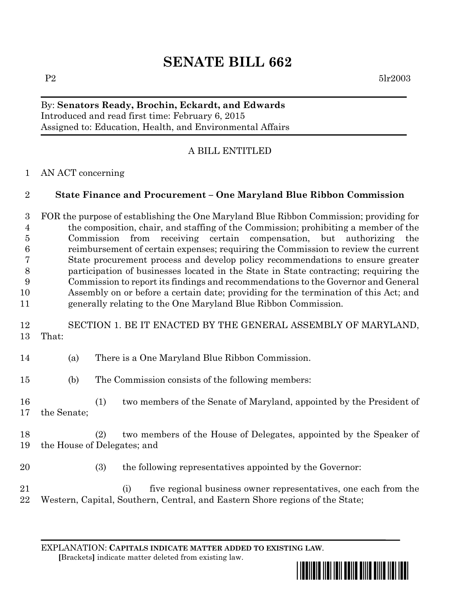# **SENATE BILL 662**

# By: **Senators Ready, Brochin, Eckardt, and Edwards** Introduced and read first time: February 6, 2015 Assigned to: Education, Health, and Environmental Affairs

# A BILL ENTITLED

### AN ACT concerning

# **State Finance and Procurement – One Maryland Blue Ribbon Commission**

 FOR the purpose of establishing the One Maryland Blue Ribbon Commission; providing for the composition, chair, and staffing of the Commission; prohibiting a member of the Commission from receiving certain compensation, but authorizing the reimbursement of certain expenses; requiring the Commission to review the current State procurement process and develop policy recommendations to ensure greater participation of businesses located in the State in State contracting; requiring the Commission to report its findings and recommendations to the Governor and General Assembly on or before a certain date; providing for the termination of this Act; and generally relating to the One Maryland Blue Ribbon Commission.

# SECTION 1. BE IT ENACTED BY THE GENERAL ASSEMBLY OF MARYLAND, That:

- (a) There is a One Maryland Blue Ribbon Commission.
- (b) The Commission consists of the following members:
- (1) two members of the Senate of Maryland, appointed by the President of the Senate;
- (2) two members of the House of Delegates, appointed by the Speaker of the House of Delegates; and
- 

(3) the following representatives appointed by the Governor:

 (i) five regional business owner representatives, one each from the Western, Capital, Southern, Central, and Eastern Shore regions of the State;

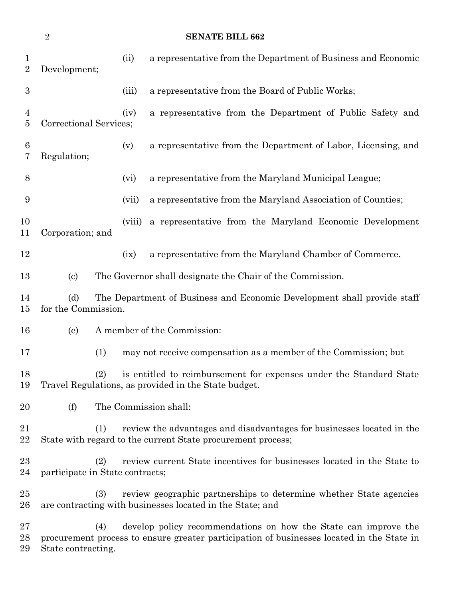| $\overline{2}$<br><b>SENATE BILL 662</b> |                                                                                                                                             |        |                                                                                                                                                              |
|------------------------------------------|---------------------------------------------------------------------------------------------------------------------------------------------|--------|--------------------------------------------------------------------------------------------------------------------------------------------------------------|
| $\mathbf{1}$<br>$\overline{2}$           | Development;                                                                                                                                | (ii)   | a representative from the Department of Business and Economic                                                                                                |
| $\boldsymbol{3}$                         |                                                                                                                                             | (iii)  | a representative from the Board of Public Works;                                                                                                             |
| 4<br>5                                   | Correctional Services;                                                                                                                      | (iv)   | a representative from the Department of Public Safety and                                                                                                    |
| 6<br>7                                   | Regulation;                                                                                                                                 | (v)    | a representative from the Department of Labor, Licensing, and                                                                                                |
| 8                                        |                                                                                                                                             | (vi)   | a representative from the Maryland Municipal League;                                                                                                         |
| 9                                        |                                                                                                                                             | (vii)  | a representative from the Maryland Association of Counties;                                                                                                  |
| 10<br>11                                 | Corporation; and                                                                                                                            | (viii) | a representative from the Maryland Economic Development                                                                                                      |
| 12                                       |                                                                                                                                             | (ix)   | a representative from the Maryland Chamber of Commerce.                                                                                                      |
| 13                                       | $\left( \mathrm{c}\right)$<br>The Governor shall designate the Chair of the Commission.                                                     |        |                                                                                                                                                              |
| 14<br>15                                 | (d)<br>The Department of Business and Economic Development shall provide staff<br>for the Commission.                                       |        |                                                                                                                                                              |
| 16                                       | A member of the Commission:<br>(e)                                                                                                          |        |                                                                                                                                                              |
| 17                                       | (1)                                                                                                                                         |        | may not receive compensation as a member of the Commission; but                                                                                              |
| 18<br>19                                 | is entitled to reimbursement for expenses under the Standard State<br>(2)<br>Travel Regulations, as provided in the State budget.           |        |                                                                                                                                                              |
| 20                                       | (f)<br>The Commission shall:                                                                                                                |        |                                                                                                                                                              |
| 21<br>22                                 | review the advantages and disadvantages for businesses located in the<br>(1)<br>State with regard to the current State procurement process; |        |                                                                                                                                                              |
| $23\,$<br>24                             | review current State incentives for businesses located in the State to<br>(2)<br>participate in State contracts;                            |        |                                                                                                                                                              |
| $25\,$<br>26                             | review geographic partnerships to determine whether State agencies<br>(3)<br>are contracting with businesses located in the State; and      |        |                                                                                                                                                              |
| $27\,$<br>28                             | (4)                                                                                                                                         |        | develop policy recommendations on how the State can improve the<br>procurement process to ensure greater participation of businesses located in the State in |

State contracting.